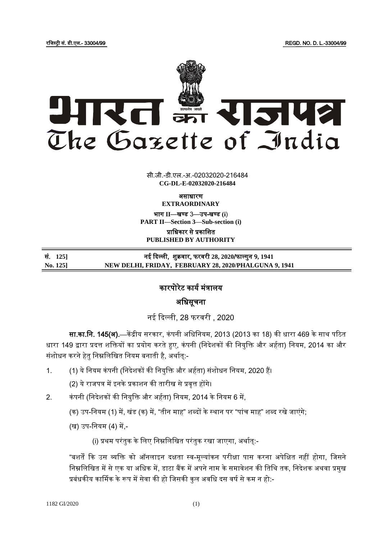रजिस्ट्री सं. डी.एल.- 33004/99 REGD. NO. D. L.-33004/99



 $\overline{z}$   $\overline{z}$   $\overline{z}$ सी.जी.-डी.एल.-अ.-02032020-216484 **CG-DL-E-02032020-216484**

> असाधारण **EXTRAORDINARY**

भाग **II**—खण् ड 3—उप-खण् ड **(i**) **PART II—Section 3—Sub-section (i)**

प्राजधकार से प्रकाजित **PUBLISHED BY AUTHORITY**

सं. **125]** नई ददल्ली, िुक्रवार, फरवरी **28, 2020**/फाल् गुन 9**, 1941 No. 125] NEW DELHI, FRIDAY, FEBRUARY 28, 2020/PHALGUNA 9, 1941**

## कारपोरेट कार्य मंत्रालय

Ï

## अजधसूचना

नई ददल्ली, 28 फरवरी , 2020

सा.का.नि. 145(अ).—केंद्रीय सरकार, कंपनी अधिनियम, 2013 (2013 का 18) की धारा 469 के साथ पठित धारा 149 द्वारा प्रदत्त शक्तियों का प्रयोग करते हुए, कंपनी (निदेशकों की नियुक्ति और अर्हता) नियम, 2014 का और संशोधन करने हेतु निम्नलिखित नियम बनाती है, अर्थात्:-

1. (1) ये नियम कंपनी (निदेशकों की नियुक्ति और अर्हता) संशोधन नियम, 2020 हैं।

(2) ये राजपत्र में इनके प्रकाशन की तारीख से प्रवृत्त होंगे।

2. कंपनी (निदेशकों की नियुक्ति और अर्हता) नियम, 2014 के नियम 6 में,

(क) उप-नियम (1) में, खंड (क) में, "तीन माह" शब्दों के स्थान पर "पांच माह" शब्द रखे जाएंगे;

(ख) उप-जनयम (4) में,-

(i) प्रथम परंतुक के लिए निम्नलिखित परंतुक रखा जाएगा, अर्थात्:-

"बशर्तें कि उस व्यक्ति को ऑनलाइन दक्षता स्व-मूल्यांकन परीक्षा पास करना अपेक्षित नहीं होगा, जिसने निम्नलिखित में से एक या अधिक में, डाटा बैंक में अपने नाम के समावेशन की तिथि तक, निदेशक अथवा प्रमुख प्रबंधकीय कार्मिक के रूप में सेवा की हो जिसकी कुल अवधि दस वर्ष से कम न हो:-